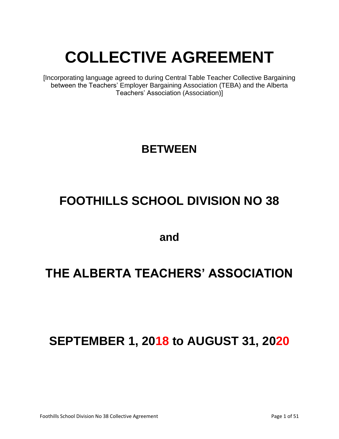# **COLLECTIVE AGREEMENT**

[Incorporating language agreed to during Central Table Teacher Collective Bargaining between the Teachers' Employer Bargaining Association (TEBA) and the Alberta Teachers' Association (Association)]

# **BETWEEN**

# **FOOTHILLS SCHOOL DIVISION NO 38**

**and**

# **THE ALBERTA TEACHERS' ASSOCIATION**

# **SEPTEMBER 1, 2018 to AUGUST 31, 2020**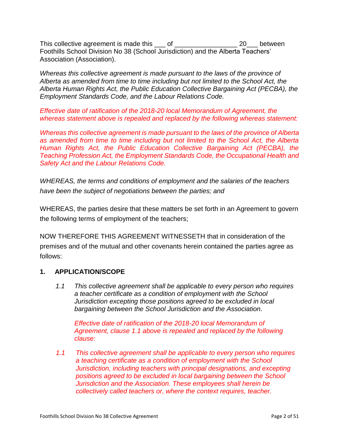This collective agreement is made this  $\qquad \qquad$  of  $\qquad \qquad$  20 between Foothills School Division No 38 (School Jurisdiction) and the Alberta Teachers' Association (Association).

*Whereas this collective agreement is made pursuant to the laws of the province of Alberta as amended from time to time including but not limited to the School Act, the Alberta Human Rights Act, the Public Education Collective Bargaining Act (PECBA), the Employment Standards Code, and the Labour Relations Code.*

*Effective date of ratification of the 2018-20 local Memorandum of Agreement, the whereas statement above is repealed and replaced by the following whereas statement:*

*Whereas this collective agreement is made pursuant to the laws of the province of Alberta as amended from time to time including but not limited to the School Act, the Alberta Human Rights Act, the Public Education Collective Bargaining Act (PECBA), the Teaching Profession Act, the Employment Standards Code, the Occupational Health and Safety Act and the Labour Relations Code.*

*WHEREAS, the terms and conditions of employment and the salaries of the teachers have been the subject of negotiations between the parties; and*

WHEREAS, the parties desire that these matters be set forth in an Agreement to govern the following terms of employment of the teachers;

NOW THEREFORE THIS AGREEMENT WITNESSETH that in consideration of the premises and of the mutual and other covenants herein contained the parties agree as follows:

# **1. APPLICATION/SCOPE**

*1.1 This collective agreement shall be applicable to every person who requires a teacher certificate as a condition of employment with the School Jurisdiction excepting those positions agreed to be excluded in local bargaining between the School Jurisdiction and the Association.*

*Effective date of ratification of the 2018-20 local Memorandum of Agreement, clause 1.1 above is repealed and replaced by the following clause:*

*1.1 This collective agreement shall be applicable to every person who requires a teaching certificate as a condition of employment with the School Jurisdiction, including teachers with principal designations, and excepting positions agreed to be excluded in local bargaining between the School Jurisdiction and the Association. These employees shall herein be collectively called teachers or, where the context requires, teacher.*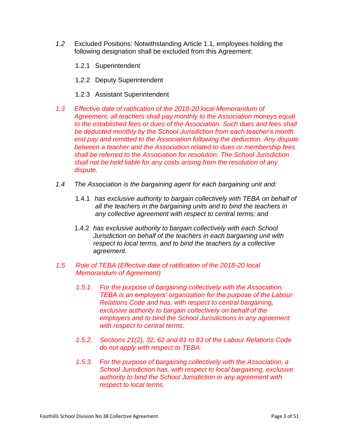- *1.2* Excluded Positions: Notwithstanding Article 1.1, employees holding the following designation shall be excluded from this Agreement:
	- 1.2.1 Superintendent
	- 1.2.2 Deputy Superintendent
	- 1.2.3 Assistant Superintendent
- *1.3 Effective date of ratification of the 2018-20 local Memorandum of Agreement, all teachers shall pay monthly to the Association moneys equal to the established fees or dues of the Association. Such dues and fees shall be deducted monthly by the School Jurisdiction from each teacher's month end pay and remitted to the Association following the deduction. Any dispute between a teacher and the Association related to dues or membership fees shall be referred to the Association for resolution. The School Jurisdiction shall not be held liable for any costs arising from the resolution of any dispute.*
- *1.4 The Association is the bargaining agent for each bargaining unit and:*
	- 1.4.1 *has exclusive authority to bargain collectively with TEBA on behalf of all the teachers in the bargaining units and to bind the teachers in any collective agreement with respect to central terms; and*
	- 1.4.2 *has exclusive authority to bargain collectively with each School Jurisdiction on behalf of the teachers in each bargaining unit with respect to local terms, and to bind the teachers by a collective agreement.*
- *1.5 Role of TEBA (Effective date of ratification of the 2018-20 local Memorandum of Agreement)*
	- *1.5.1. For the purpose of bargaining collectively with the Association, TEBA is an employers' organization for the purpose of the Labour Relations Code and has, with respect to central bargaining, exclusive authority to bargain collectively on behalf of the employers and to bind the School Jurisdictions in any agreement with respect to central terms.*
	- *1.5.2. Sections 21(2), 32, 62 and 81 to 83 of the Labour Relations Code do not apply with respect to TEBA.*
	- *1.5.3. For the purpose of bargaining collectively with the Association, a School Jurisdiction has, with respect to local bargaining, exclusive authority to bind the School Jurisdiction in any agreement with respect to local terms.*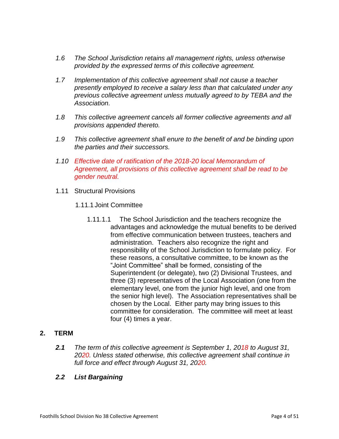- *1.6 The School Jurisdiction retains all management rights, unless otherwise provided by the expressed terms of this collective agreement.*
- *1.7 Implementation of this collective agreement shall not cause a teacher presently employed to receive a salary less than that calculated under any previous collective agreement unless mutually agreed to by TEBA and the Association.*
- *1.8 This collective agreement cancels all former collective agreements and all provisions appended thereto.*
- *1.9 This collective agreement shall enure to the benefit of and be binding upon the parties and their successors.*
- *1.10 Effective date of ratification of the 2018-20 local Memorandum of Agreement, all provisions of this collective agreement shall be read to be gender neutral.*
- 1.11 Structural Provisions
	- 1.11.1 Joint Committee
		- 1.11.1.1 The School Jurisdiction and the teachers recognize the advantages and acknowledge the mutual benefits to be derived from effective communication between trustees, teachers and administration. Teachers also recognize the right and responsibility of the School Jurisdiction to formulate policy. For these reasons, a consultative committee, to be known as the "Joint Committee" shall be formed, consisting of the Superintendent (or delegate), two (2) Divisional Trustees, and three (3) representatives of the Local Association (one from the elementary level, one from the junior high level, and one from the senior high level). The Association representatives shall be chosen by the Local. Either party may bring issues to this committee for consideration. The committee will meet at least four (4) times a year.

# **2. TERM**

*2.1 The term of this collective agreement is September 1, 2018 to August 31, 2020. Unless stated otherwise, this collective agreement shall continue in full force and effect through August 31, 2020.*

# *2.2 List Bargaining*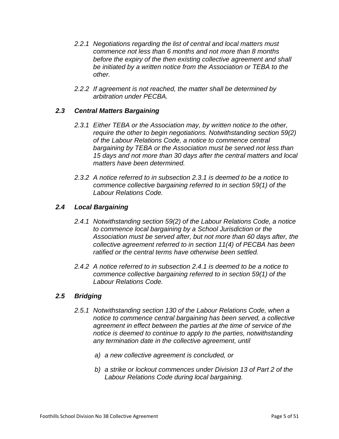- *2.2.1 Negotiations regarding the list of central and local matters must commence not less than 6 months and not more than 8 months before the expiry of the then existing collective agreement and shall be initiated by a written notice from the Association or TEBA to the other.*
- *2.2.2 If agreement is not reached, the matter shall be determined by arbitration under PECBA.*

# *2.3 Central Matters Bargaining*

- *2.3.1 Either TEBA or the Association may, by written notice to the other, require the other to begin negotiations. Notwithstanding section 59(2) of the Labour Relations Code, a notice to commence central bargaining by TEBA or the Association must be served not less than 15 days and not more than 30 days after the central matters and local matters have been determined.*
- *2.3.2 A notice referred to in subsection 2.3.1 is deemed to be a notice to commence collective bargaining referred to in section 59(1) of the Labour Relations Code.*

# *2.4 Local Bargaining*

- *2.4.1 Notwithstanding section 59(2) of the Labour Relations Code, a notice to commence local bargaining by a School Jurisdiction or the Association must be served after, but not more than 60 days after, the collective agreement referred to in section 11(4) of PECBA has been ratified or the central terms have otherwise been settled.*
- *2.4.2 A notice referred to in subsection 2.4.1 is deemed to be a notice to commence collective bargaining referred to in section 59(1) of the Labour Relations Code.*

# *2.5 Bridging*

- *2.5.1 Notwithstanding section 130 of the Labour Relations Code, when a notice to commence central bargaining has been served, a collective agreement in effect between the parties at the time of service of the notice is deemed to continue to apply to the parties, notwithstanding any termination date in the collective agreement, until*
	- *a) a new collective agreement is concluded, or*
	- *b) a strike or lockout commences under Division 13 of Part 2 of the Labour Relations Code during local bargaining.*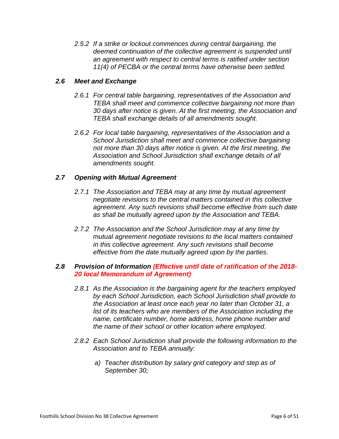*2.5.2 If a strike or lockout commences during central bargaining, the deemed continuation of the collective agreement is suspended until an agreement with respect to central terms is ratified under section 11(4) of PECBA or the central terms have otherwise been settled.* 

#### *2.6 Meet and Exchange*

- *2.6.1 For central table bargaining, representatives of the Association and TEBA shall meet and commence collective bargaining not more than 30 days after notice is given. At the first meeting, the Association and TEBA shall exchange details of all amendments sought.*
- *2.6.2 For local table bargaining, representatives of the Association and a School Jurisdiction shall meet and commence collective bargaining not more than 30 days after notice is given. At the first meeting, the Association and School Jurisdiction shall exchange details of all amendments sought.*

#### *2.7 Opening with Mutual Agreement*

- *2.7.1 The Association and TEBA may at any time by mutual agreement negotiate revisions to the central matters contained in this collective agreement. Any such revisions shall become effective from such date as shall be mutually agreed upon by the Association and TEBA.*
- *2.7.2 The Association and the School Jurisdiction may at any time by mutual agreement negotiate revisions to the local matters contained in this collective agreement. Any such revisions shall become effective from the date mutually agreed upon by the parties.*

#### *2.8 Provision of Information (Effective until date of ratification of the 2018- 20 local Memorandum of Agreement)*

- *2.8.1 As the Association is the bargaining agent for the teachers employed by each School Jurisdiction, each School Jurisdiction shall provide to the Association at least once each year no later than October 31, a list of its teachers who are members of the Association including the name, certificate number, home address, home phone number and the name of their school or other location where employed.*
- *2.8.2 Each School Jurisdiction shall provide the following information to the Association and to TEBA annually:*
	- *a) Teacher distribution by salary grid category and step as of September 30;*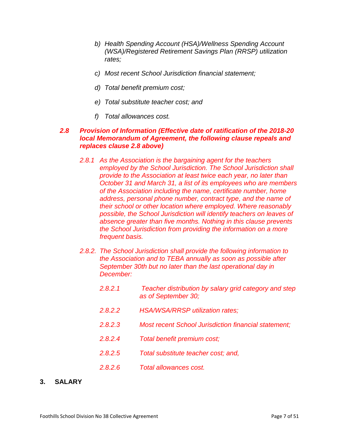- *b) Health Spending Account (HSA)/Wellness Spending Account (WSA)/Registered Retirement Savings Plan (RRSP) utilization rates;*
- *c) Most recent School Jurisdiction financial statement;*
- *d) Total benefit premium cost;*
- *e) Total substitute teacher cost; and*
- *f) Total allowances cost.*

#### *2.8 Provision of Information (Effective date of ratification of the 2018-20 local Memorandum of Agreement, the following clause repeals and replaces clause 2.8 above)*

- *2.8.1 As the Association is the bargaining agent for the teachers employed by the School Jurisdiction. The School Jurisdiction shall provide to the Association at least twice each year, no later than October 31 and March 31, a list of its employees who are members of the Association including the name, certificate number, home address, personal phone number, contract type, and the name of their school or other location where employed. Where reasonably possible, the School Jurisdiction will identify teachers on leaves of absence greater than five months. Nothing in this clause prevents the School Jurisdiction from providing the information on a more frequent basis.*
- *2.8.2. The School Jurisdiction shall provide the following information to the Association and to TEBA annually as soon as possible after September 30th but no later than the last operational day in December:*
	- *2.8.2.1 Teacher distribution by salary grid category and step as of September 30;*
	- *2.8.2.2 HSA/WSA/RRSP utilization rates;*
	- *2.8.2.3 Most recent School Jurisdiction financial statement;*
	- *2.8.2.4 Total benefit premium cost;*
	- *2.8.2.5 Total substitute teacher cost; and,*
	- *2.8.2.6 Total allowances cost.*
- **3. SALARY**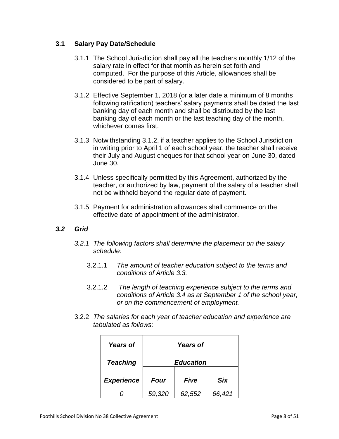# **3.1 Salary Pay Date/Schedule**

- 3.1.1 The School Jurisdiction shall pay all the teachers monthly 1/12 of the salary rate in effect for that month as herein set forth and computed. For the purpose of this Article, allowances shall be considered to be part of salary.
- 3.1.2 Effective September 1, 2018 (or a later date a minimum of 8 months following ratification) teachers' salary payments shall be dated the last banking day of each month and shall be distributed by the last banking day of each month or the last teaching day of the month, whichever comes first.
- 3.1.3 Notwithstanding 3.1.2, if a teacher applies to the School Jurisdiction in writing prior to April 1 of each school year, the teacher shall receive their July and August cheques for that school year on June 30, dated June 30.
- 3.1.4 Unless specifically permitted by this Agreement, authorized by the teacher, or authorized by law, payment of the salary of a teacher shall not be withheld beyond the regular date of payment.
- 3.1.5 Payment for administration allowances shall commence on the effective date of appointment of the administrator.

# *3.2 Grid*

- *3.2.1 The following factors shall determine the placement on the salary schedule:*
	- 3.2.1.1 *The amount of teacher education subject to the terms and conditions of Article 3.3.*
	- 3.2.1.2 *The length of teaching experience subject to the terms and conditions of Article 3.4 as at September 1 of the school year, or on the commencement of employment.*
- 3.2.2 *The salaries for each year of teacher education and experience are tabulated as follows:*

| <b>Years of</b>   | <b>Years of</b>  |        |            |
|-------------------|------------------|--------|------------|
| <b>Teaching</b>   | <b>Education</b> |        |            |
| <b>Experience</b> | <b>Four</b>      | Five   | <b>Six</b> |
|                   | 59,320           | 62,552 | 66,421     |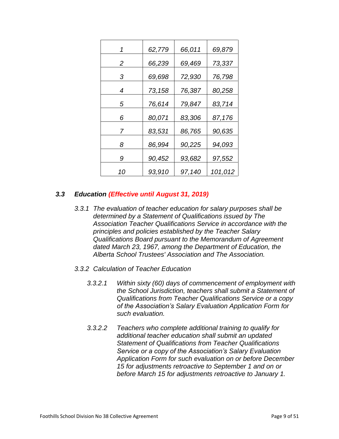| 1  | 62,779 | 66,011 | 69,879  |
|----|--------|--------|---------|
| 2  | 66,239 | 69,469 | 73,337  |
| 3  | 69,698 | 72,930 | 76,798  |
| 4  | 73,158 | 76,387 | 80,258  |
| 5  | 76,614 | 79,847 | 83,714  |
| 6  | 80,071 | 83,306 | 87,176  |
| 7  | 83,531 | 86,765 | 90,635  |
| 8  | 86,994 | 90,225 | 94,093  |
| 9  | 90,452 | 93,682 | 97,552  |
| 10 | 93,910 | 97,140 | 101,012 |

# *3.3 Education (Effective until August 31, 2019)*

- *3.3.1 The evaluation of teacher education for salary purposes shall be determined by a Statement of Qualifications issued by The Association Teacher Qualifications Service in accordance with the principles and policies established by the Teacher Salary Qualifications Board pursuant to the Memorandum of Agreement dated March 23, 1967, among the Department of Education, the Alberta School Trustees' Association and The Association.*
- *3.3.2 Calculation of Teacher Education*
	- *3.3.2.1 Within sixty (60) days of commencement of employment with the School Jurisdiction, teachers shall submit a Statement of Qualifications from Teacher Qualifications Service or a copy of the Association's Salary Evaluation Application Form for such evaluation.*
	- *3.3.2.2 Teachers who complete additional training to qualify for additional teacher education shall submit an updated Statement of Qualifications from Teacher Qualifications Service or a copy of the Association's Salary Evaluation Application Form for such evaluation on or before December 15 for adjustments retroactive to September 1 and on or before March 15 for adjustments retroactive to January 1.*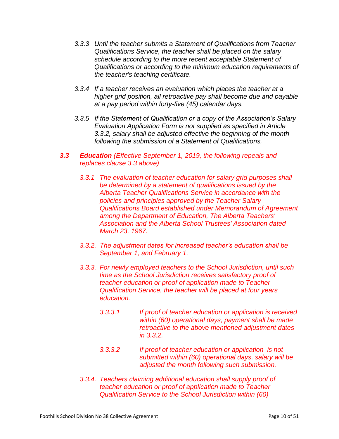- *3.3.3 Until the teacher submits a Statement of Qualifications from Teacher Qualifications Service, the teacher shall be placed on the salary schedule according to the more recent acceptable Statement of Qualifications or according to the minimum education requirements of the teacher's teaching certificate.*
- *3.3.4 If a teacher receives an evaluation which places the teacher at a higher grid position, all retroactive pay shall become due and payable at a pay period within forty-five (45) calendar days.*
- *3.3.5 If the Statement of Qualification or a copy of the Association's Salary Evaluation Application Form is not supplied as specified in Article 3.3.2, salary shall be adjusted effective the beginning of the month following the submission of a Statement of Qualifications.*
- *3.3 Education (Effective September 1, 2019, the following repeals and replaces clause 3.3 above)*
	- *3.3.1 The evaluation of teacher education for salary grid purposes shall be determined by a statement of qualifications issued by the Alberta Teacher Qualifications Service in accordance with the policies and principles approved by the Teacher Salary Qualifications Board established under Memorandum of Agreement among the Department of Education, The Alberta Teachers' Association and the Alberta School Trustees' Association dated March 23, 1967.*
	- *3.3.2. The adjustment dates for increased teacher's education shall be September 1, and February 1.*
	- *3.3.3. For newly employed teachers to the School Jurisdiction, until such time as the School Jurisdiction receives satisfactory proof of teacher education or proof of application made to Teacher Qualification Service, the teacher will be placed at four years education.* 
		- *3.3.3.1 If proof of teacher education or application is received within (60) operational days, payment shall be made retroactive to the above mentioned adjustment dates in 3.3.2.*
		- *3.3.3.2 If proof of teacher education or application is not submitted within (60) operational days, salary will be adjusted the month following such submission.*
	- *3.3.4. Teachers claiming additional education shall supply proof of teacher education or proof of application made to Teacher Qualification Service to the School Jurisdiction within (60)*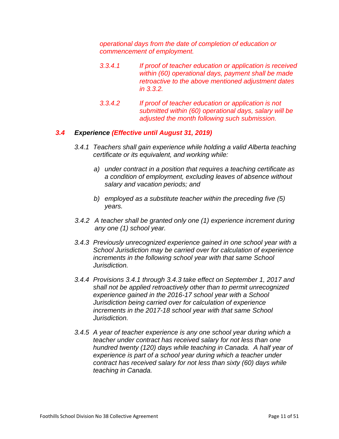*operational days from the date of completion of education or commencement of employment.* 

- *3.3.4.1 If proof of teacher education or application is received within (60) operational days, payment shall be made retroactive to the above mentioned adjustment dates in 3.3.2.*
- *3.3.4.2 If proof of teacher education or application is not submitted within (60) operational days, salary will be adjusted the month following such submission.*

#### *3.4 Experience (Effective until August 31, 2019)*

- *3.4.1 Teachers shall gain experience while holding a valid Alberta teaching certificate or its equivalent, and working while:*
	- *a) under contract in a position that requires a teaching certificate as a condition of employment, excluding leaves of absence without salary and vacation periods; and*
	- *b) employed as a substitute teacher within the preceding five (5) years.*
- *3.4.2 A teacher shall be granted only one (1) experience increment during any one (1) school year.*
- *3.4.3 Previously unrecognized experience gained in one school year with a School Jurisdiction may be carried over for calculation of experience increments in the following school year with that same School Jurisdiction.*
- *3.4.4 Provisions 3.4.1 through 3.4.3 take effect on September 1, 2017 and shall not be applied retroactively other than to permit unrecognized experience gained in the 2016-17 school year with a School Jurisdiction being carried over for calculation of experience increments in the 2017-18 school year with that same School Jurisdiction.*
- *3.4.5 A year of teacher experience is any one school year during which a teacher under contract has received salary for not less than one hundred twenty (120) days while teaching in Canada. A half year of experience is part of a school year during which a teacher under contract has received salary for not less than sixty (60) days while teaching in Canada.*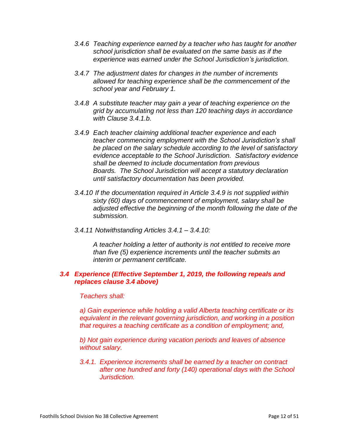- *3.4.6 Teaching experience earned by a teacher who has taught for another school jurisdiction shall be evaluated on the same basis as if the experience was earned under the School Jurisdiction's jurisdiction.*
- *3.4.7 The adjustment dates for changes in the number of increments allowed for teaching experience shall be the commencement of the school year and February 1.*
- *3.4.8 A substitute teacher may gain a year of teaching experience on the grid by accumulating not less than 120 teaching days in accordance with Clause 3.4.1.b.*
- *3.4.9 Each teacher claiming additional teacher experience and each teacher commencing employment with the School Jurisdiction's shall be placed on the salary schedule according to the level of satisfactory evidence acceptable to the School Jurisdiction. Satisfactory evidence shall be deemed to include documentation from previous Boards. The School Jurisdiction will accept a statutory declaration until satisfactory documentation has been provided.*
- *3.4.10 If the documentation required in Article 3.4.9 is not supplied within sixty (60) days of commencement of employment, salary shall be adjusted effective the beginning of the month following the date of the submission.*
- *3.4.11 Notwithstanding Articles 3.4.1 – 3.4.10:*

*A teacher holding a letter of authority is not entitled to receive more than five (5) experience increments until the teacher submits an interim or permanent certificate.*

#### *3.4 Experience (Effective September 1, 2019, the following repeals and replaces clause 3.4 above)*

*Teachers shall:*

*a) Gain experience while holding a valid Alberta teaching certificate or its equivalent in the relevant governing jurisdiction, and working in a position that requires a teaching certificate as a condition of employment; and,*

*b) Not gain experience during vacation periods and leaves of absence without salary.*

*3.4.1. Experience increments shall be earned by a teacher on contract after one hundred and forty (140) operational days with the School Jurisdiction.*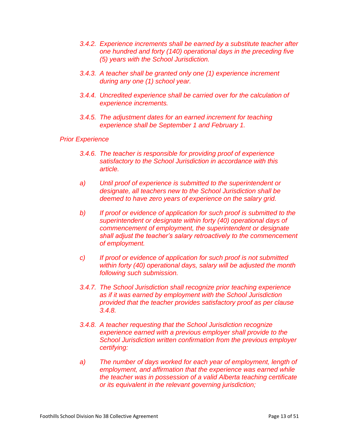- *3.4.2. Experience increments shall be earned by a substitute teacher after one hundred and forty (140) operational days in the preceding five (5) years with the School Jurisdiction.*
- *3.4.3. A teacher shall be granted only one (1) experience increment during any one (1) school year.*
- *3.4.4. Uncredited experience shall be carried over for the calculation of experience increments.*
- *3.4.5. The adjustment dates for an earned increment for teaching experience shall be September 1 and February 1.*

#### *Prior Experience*

- *3.4.6. The teacher is responsible for providing proof of experience satisfactory to the School Jurisdiction in accordance with this article.*
- *a) Until proof of experience is submitted to the superintendent or designate, all teachers new to the School Jurisdiction shall be deemed to have zero years of experience on the salary grid.*
- *b) If proof or evidence of application for such proof is submitted to the superintendent or designate within forty (40) operational days of commencement of employment, the superintendent or designate shall adjust the teacher's salary retroactively to the commencement of employment.*
- *c) If proof or evidence of application for such proof is not submitted within forty (40) operational days, salary will be adjusted the month following such submission.*
- *3.4.7. The School Jurisdiction shall recognize prior teaching experience as if it was earned by employment with the School Jurisdiction provided that the teacher provides satisfactory proof as per clause 3.4.8.*
- *3.4.8. A teacher requesting that the School Jurisdiction recognize experience earned with a previous employer shall provide to the School Jurisdiction written confirmation from the previous employer certifying:*
- *a) The number of days worked for each year of employment, length of employment, and affirmation that the experience was earned while the teacher was in possession of a valid Alberta teaching certificate or its equivalent in the relevant governing jurisdiction;*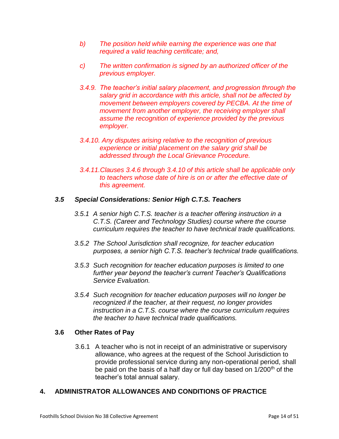- *b) The position held while earning the experience was one that required a valid teaching certificate; and,*
- *c) The written confirmation is signed by an authorized officer of the previous employer.*
- *3.4.9. The teacher's initial salary placement, and progression through the salary grid in accordance with this article, shall not be affected by movement between employers covered by PECBA. At the time of movement from another employer, the receiving employer shall assume the recognition of experience provided by the previous employer.*
- *3.4.10. Any disputes arising relative to the recognition of previous experience or initial placement on the salary grid shall be addressed through the Local Grievance Procedure.*
- *3.4.11.Clauses 3.4.6 through 3.4.10 of this article shall be applicable only to teachers whose date of hire is on or after the effective date of this agreement.*

# *3.5 Special Considerations: Senior High C.T.S. Teachers*

- *3.5.1 A senior high C.T.S. teacher is a teacher offering instruction in a C.T.S. (Career and Technology Studies) course where the course curriculum requires the teacher to have technical trade qualifications.*
- *3.5.2 The School Jurisdiction shall recognize, for teacher education purposes, a senior high C.T.S. teacher's technical trade qualifications.*
- *3.5.3 Such recognition for teacher education purposes is limited to one further year beyond the teacher's current Teacher's Qualifications Service Evaluation.*
- *3.5.4 Such recognition for teacher education purposes will no longer be recognized if the teacher, at their request, no longer provides instruction in a C.T.S. course where the course curriculum requires the teacher to have technical trade qualifications.*

#### **3.6 Other Rates of Pay**

3.6.1 A teacher who is not in receipt of an administrative or supervisory allowance, who agrees at the request of the School Jurisdiction to provide professional service during any non-operational period, shall be paid on the basis of a half day or full day based on 1/200<sup>th</sup> of the teacher's total annual salary.

# **4. ADMINISTRATOR ALLOWANCES AND CONDITIONS OF PRACTICE**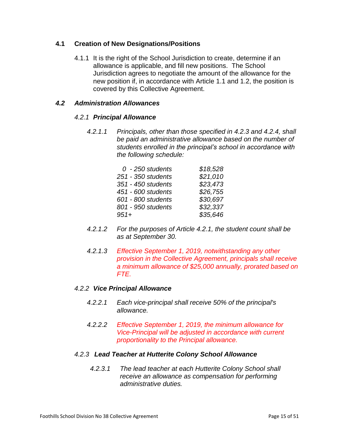#### **4.1 Creation of New Designations/Positions**

4.1.1 It is the right of the School Jurisdiction to create, determine if an allowance is applicable, and fill new positions. The School Jurisdiction agrees to negotiate the amount of the allowance for the new position if, in accordance with Article 1.1 and 1.2, the position is covered by this Collective Agreement.

#### *4.2 Administration Allowances*

#### *4.2.1 Principal Allowance*

*4.2.1.1 Principals, other than those specified in 4.2.3 and 4.2.4, shall be paid an administrative allowance based on the number of students enrolled in the principal's school in accordance with the following schedule:*

| $0 - 250$ students | \$18,528 |
|--------------------|----------|
| 251 - 350 students | \$21,010 |
| 351 - 450 students | \$23,473 |
| 451 - 600 students | \$26,755 |
| 601 - 800 students | \$30,697 |
| 801 - 950 students | \$32,337 |
| $951 +$            | \$35,646 |

- *4.2.1.2 For the purposes of Article 4.2.1, the student count shall be as at September 30.*
- *4.2.1.3 Effective September 1, 2019, notwithstanding any other provision in the Collective Agreement, principals shall receive a minimum allowance of \$25,000 annually, prorated based on FTE.*

#### *4.2.2 Vice Principal Allowance*

- *4.2.2.1 Each vice-principal shall receive 50% of the principal's allowance.*
- *4.2.2.2 Effective September 1, 2019, the minimum allowance for Vice-Principal will be adjusted in accordance with current proportionality to the Principal allowance.*

#### *4.2.3 Lead Teacher at Hutterite Colony School Allowance*

*4.2.3.1 The lead teacher at each Hutterite Colony School shall receive an allowance as compensation for performing administrative duties.*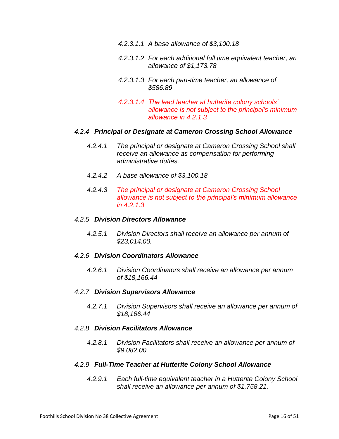- *4.2.3.1.1 A base allowance of \$3,100.18*
- *4.2.3.1.2 For each additional full time equivalent teacher, an allowance of \$1,173.78*
- *4.2.3.1.3 For each part-time teacher, an allowance of \$586.89*
- *4.2.3.1.4 The lead teacher at hutterite colony schools' allowance is not subject to the principal's minimum allowance in 4.2.1.3*

#### *4.2.4 Principal or Designate at Cameron Crossing School Allowance*

- *4.2.4.1 The principal or designate at Cameron Crossing School shall receive an allowance as compensation for performing administrative duties.*
- *4.2.4.2 A base allowance of \$3,100.18*
- *4.2.4.3 The principal or designate at Cameron Crossing School allowance is not subject to the principal's minimum allowance in 4.2.1.3*

#### *4.2.5 Division Directors Allowance*

*4.2.5.1 Division Directors shall receive an allowance per annum of \$23,014.00.* 

#### *4.2.6 Division Coordinators Allowance*

*4.2.6.1 Division Coordinators shall receive an allowance per annum of \$18,166.44* 

#### *4.2.7 Division Supervisors Allowance*

*4.2.7.1 Division Supervisors shall receive an allowance per annum of \$18,166.44* 

#### *4.2.8 Division Facilitators Allowance*

*4.2.8.1 Division Facilitators shall receive an allowance per annum of \$9,082.00* 

#### *4.2.9 Full-Time Teacher at Hutterite Colony School Allowance*

*4.2.9.1 Each full-time equivalent teacher in a Hutterite Colony School shall receive an allowance per annum of \$1,758.21.*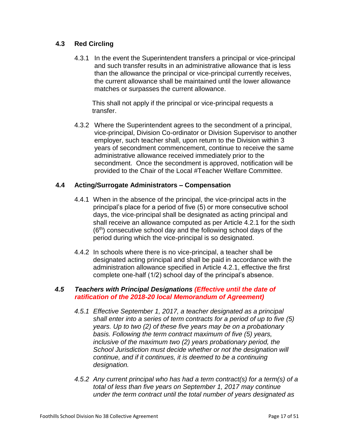# **4.3 Red Circling**

4.3.1 In the event the Superintendent transfers a principal or vice-principal and such transfer results in an administrative allowance that is less than the allowance the principal or vice-principal currently receives, the current allowance shall be maintained until the lower allowance matches or surpasses the current allowance.

This shall not apply if the principal or vice-principal requests a transfer.

4.3.2 Where the Superintendent agrees to the secondment of a principal, vice-principal, Division Co-ordinator or Division Supervisor to another employer, such teacher shall, upon return to the Division within 3 years of secondment commencement, continue to receive the same administrative allowance received immediately prior to the secondment. Once the secondment is approved, notification will be provided to the Chair of the Local #Teacher Welfare Committee.

# **4.4 Acting/Surrogate Administrators – Compensation**

- 4.4.1 When in the absence of the principal, the vice-principal acts in the principal's place for a period of five (5) or more consecutive school days, the vice-principal shall be designated as acting principal and shall receive an allowance computed as per Article 4.2.1 for the sixth (6th) consecutive school day and the following school days of the period during which the vice-principal is so designated.
- 4.4.2 In schools where there is no vice-principal, a teacher shall be designated acting principal and shall be paid in accordance with the administration allowance specified in Article 4.2.1, effective the first complete one-half (1/2) school day of the principal's absence.

#### *4.5 Teachers with Principal Designations (Effective until the date of ratification of the 2018-20 local Memorandum of Agreement)*

- *4.5.1 Effective September 1, 2017, a teacher designated as a principal shall enter into a series of term contracts for a period of up to five (5) years. Up to two (2) of these five years may be on a probationary basis. Following the term contract maximum of five (5) years, inclusive of the maximum two (2) years probationary period, the School Jurisdiction must decide whether or not the designation will continue, and if it continues, it is deemed to be a continuing designation.*
- *4.5.2 Any current principal who has had a term contract(s) for a term(s) of a total of less than five years on September 1, 2017 may continue under the term contract until the total number of years designated as*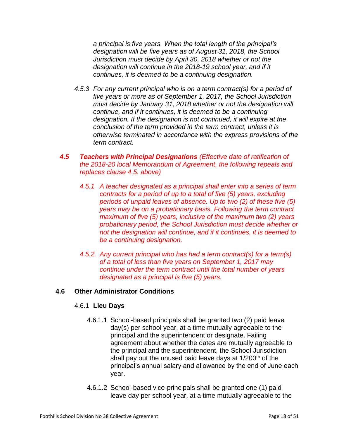*a principal is five years. When the total length of the principal's designation will be five years as of August 31, 2018, the School Jurisdiction must decide by April 30, 2018 whether or not the designation will continue in the 2018-19 school year, and if it continues, it is deemed to be a continuing designation.*

- *4.5.3 For any current principal who is on a term contract(s) for a period of five years or more as of September 1, 2017, the School Jurisdiction must decide by January 31, 2018 whether or not the designation will continue, and if it continues, it is deemed to be a continuing designation. If the designation is not continued, it will expire at the conclusion of the term provided in the term contract, unless it is otherwise terminated in accordance with the express provisions of the term contract.*
- *4.5 Teachers with Principal Designations (Effective date of ratification of the 2018-20 local Memorandum of Agreement, the following repeals and replaces clause 4.5. above)*
	- *4.5.1 A teacher designated as a principal shall enter into a series of term contracts for a period of up to a total of five (5) years, excluding periods of unpaid leaves of absence. Up to two (2) of these five (5) years may be on a probationary basis. Following the term contract maximum of five (5) years, inclusive of the maximum two (2) years probationary period, the School Jurisdiction must decide whether or not the designation will continue, and if it continues, it is deemed to be a continuing designation.*
	- *4.5.2. Any current principal who has had a term contract(s) for a term(s) of a total of less than five years on September 1, 2017 may continue under the term contract until the total number of years designated as a principal is five (5) years.*

# **4.6 Other Administrator Conditions**

#### 4.6.1 **Lieu Days**

- 4.6.1.1 School-based principals shall be granted two (2) paid leave day(s) per school year, at a time mutually agreeable to the principal and the superintendent or designate. Failing agreement about whether the dates are mutually agreeable to the principal and the superintendent, the School Jurisdiction shall pay out the unused paid leave days at 1/200<sup>th</sup> of the principal's annual salary and allowance by the end of June each year.
- 4.6.1.2 School-based vice-principals shall be granted one (1) paid leave day per school year, at a time mutually agreeable to the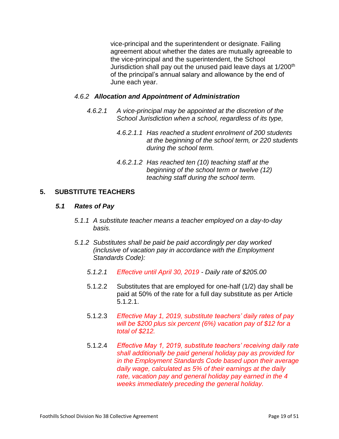vice-principal and the superintendent or designate. Failing agreement about whether the dates are mutually agreeable to the vice-principal and the superintendent, the School Jurisdiction shall pay out the unused paid leave days at 1/200<sup>th</sup> of the principal's annual salary and allowance by the end of June each year.

# *4.6.2 Allocation and Appointment of Administration*

- *4.6.2.1 A vice-principal may be appointed at the discretion of the School Jurisdiction when a school, regardless of its type,*
	- *4.6.2.1.1 Has reached a student enrolment of 200 students at the beginning of the school term, or 220 students during the school term.*
	- *4.6.2.1.2 Has reached ten (10) teaching staff at the beginning of the school term or twelve (12) teaching staff during the school term.*

# **5. SUBSTITUTE TEACHERS**

#### *5.1 Rates of Pay*

- *5.1.1 A substitute teacher means a teacher employed on a day-to-day basis.*
- *5.1.2 Substitutes shall be paid be paid accordingly per day worked (inclusive of vacation pay in accordance with the Employment Standards Code):*
	- *5.1.2.1 Effective until April 30, 2019 - Daily rate of \$205.00*
	- 5.1.2.2 Substitutes that are employed for one-half (1/2) day shall be paid at 50% of the rate for a full day substitute as per Article 5.1.2.1.
	- 5.1.2.3 *Effective May 1, 2019, substitute teachers' daily rates of pay will be \$200 plus six percent (6%) vacation pay of \$12 for a total of \$212.*
	- 5.1.2.4 *Effective May 1, 2019, substitute teachers' receiving daily rate shall additionally be paid general holiday pay as provided for in the Employment Standards Code based upon their average daily wage, calculated as 5% of their earnings at the daily rate, vacation pay and general holiday pay earned in the 4 weeks immediately preceding the general holiday.*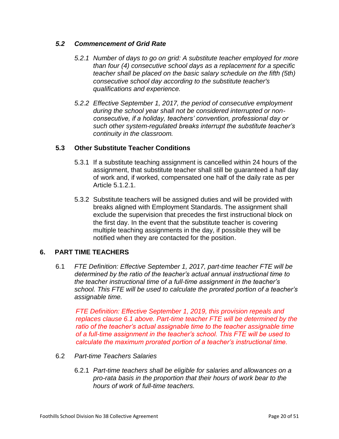# *5.2 Commencement of Grid Rate*

- *5.2.1 Number of days to go on grid: A substitute teacher employed for more than four (4) consecutive school days as a replacement for a specific teacher shall be placed on the basic salary schedule on the fifth (5th) consecutive school day according to the substitute teacher's qualifications and experience.*
- *5.2.2 Effective September 1, 2017, the period of consecutive employment during the school year shall not be considered interrupted or nonconsecutive, if a holiday, teachers' convention, professional day or such other system-regulated breaks interrupt the substitute teacher's continuity in the classroom.*

#### **5.3 Other Substitute Teacher Conditions**

- 5.3.1 If a substitute teaching assignment is cancelled within 24 hours of the assignment, that substitute teacher shall still be guaranteed a half day of work and, if worked, compensated one half of the daily rate as per Article 5.1.2.1.
- 5.3.2 Substitute teachers will be assigned duties and will be provided with breaks aligned with Employment Standards. The assignment shall exclude the supervision that precedes the first instructional block on the first day. In the event that the substitute teacher is covering multiple teaching assignments in the day, if possible they will be notified when they are contacted for the position.

#### **6. PART TIME TEACHERS**

6.1 *FTE Definition: Effective September 1, 2017, part-time teacher FTE will be determined by the ratio of the teacher's actual annual instructional time to the teacher instructional time of a full-time assignment in the teacher's school. This FTE will be used to calculate the prorated portion of a teacher's assignable time.*

*FTE Definition: Effective September 1, 2019, this provision repeals and replaces clause 6.1 above. Part-time teacher FTE will be determined by the ratio of the teacher's actual assignable time to the teacher assignable time of a full-time assignment in the teacher's school. This FTE will be used to calculate the maximum prorated portion of a teacher's instructional time.*

- 6.2 *Part-time Teachers Salaries* 
	- 6.2.1 *Part-time teachers shall be eligible for salaries and allowances on a pro-rata basis in the proportion that their hours of work bear to the hours of work of full-time teachers.*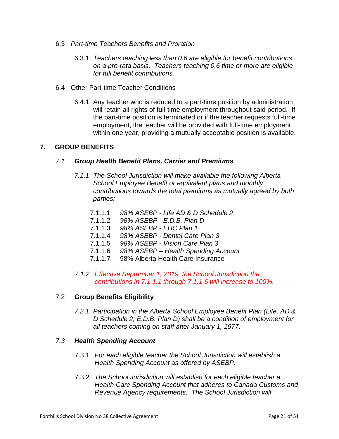- 6.3 *Part-time Teachers Benefits and Proration* 
	- 6.3.1 *Teachers teaching less than 0.6 are eligible for benefit contributions on a pro-rata basis. Teachers teaching 0.6 time or more are eligible for full benefit contributions.*
- 6.4 Other Part-time Teacher Conditions
	- 6.4.1 Any teacher who is reduced to a part-time position by administration will retain all rights of full-time employment throughout said period. If the part-time position is terminated or if the teacher requests full-time employment, the teacher will be provided with full-time employment within one year, providing a mutually acceptable position is available.

# **7. GROUP BENEFITS**

#### *7.1 Group Health Benefit Plans, Carrier and Premiums*

- *7.1.1 The School Jurisdiction will make available the following Alberta School Employee Benefit or equivalent plans and monthly contributions towards the total premiums as mutually agreed by both parties:*
	- 7.1.1.1 *98% ASEBP - Life AD & D Schedule 2*
	- 7.1.1.2 *98% ASEBP - E.D.B. Plan D*
	- 7.1.1.3 *98% ASEBP - EHC Plan 1*
	- 7.1.1.4 *98% ASEBP - Dental Care Plan 3*
	- 7.1.1.5 *98% ASEBP - Vision Care Plan 3*
	- 7.1.1.6 *98% ASEBP – Health Spending Account*
	- 7.1.1.7 98% Alberta Health Care Insurance
- *7.1.2 Effective September 1, 2019, the School Jurisdiction the contributions in 7.1.1.1 through 7.1.1.6 will increase to 100%.*

#### 7.2 **Group Benefits Eligibility**

*7.2.1 Participation in the Alberta School Employee Benefit Plan (Life, AD & D Schedule 2; E.D.B. Plan D) shall be a condition of employment for all teachers coming on staff after January 1, 1977.*

#### *7.3 Health Spending Account*

- 7.3.1 *For each eligible teacher the School Jurisdiction will establish a Health Spending Account as offered by ASEBP.*
- 7.3.2 *The School Jurisdiction will establish for each eligible teacher a Health Care Spending Account that adheres to Canada Customs and Revenue Agency requirements. The School Jurisdiction will*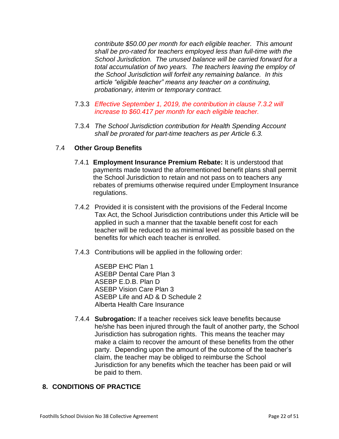*contribute \$50.00 per month for each eligible teacher. This amount shall be pro-rated for teachers employed less than full-time with the School Jurisdiction. The unused balance will be carried forward for a total accumulation of two years. The teachers leaving the employ of the School Jurisdiction will forfeit any remaining balance. In this article "eligible teacher" means any teacher on a continuing, probationary, interim or temporary contract.*

- 7.3.3 *Effective September 1, 2019, the contribution in clause 7.3.2 will increase to \$60.417 per month for each eligible teacher.*
- 7.3.4 *The School Jurisdiction contribution for Health Spending Account shall be prorated for part-time teachers as per Article 6.3.*

#### 7.4 **Other Group Benefits**

- 7.4.1 **Employment Insurance Premium Rebate:** It is understood that payments made toward the aforementioned benefit plans shall permit the School Jurisdiction to retain and not pass on to teachers any rebates of premiums otherwise required under Employment Insurance regulations.
- 7.4.2 Provided it is consistent with the provisions of the Federal Income Tax Act, the School Jurisdiction contributions under this Article will be applied in such a manner that the taxable benefit cost for each teacher will be reduced to as minimal level as possible based on the benefits for which each teacher is enrolled.
- 7.4.3 Contributions will be applied in the following order:

ASEBP EHC Plan 1 ASEBP Dental Care Plan 3 ASEBP E.D.B. Plan D ASEBP Vision Care Plan 3 ASEBP Life and AD & D Schedule 2 Alberta Health Care Insurance

7.4.4 **Subrogation:** If a teacher receives sick leave benefits because he/she has been injured through the fault of another party, the School Jurisdiction has subrogation rights. This means the teacher may make a claim to recover the amount of these benefits from the other party. Depending upon the amount of the outcome of the teacher's claim, the teacher may be obliged to reimburse the School Jurisdiction for any benefits which the teacher has been paid or will be paid to them.

# **8. CONDITIONS OF PRACTICE**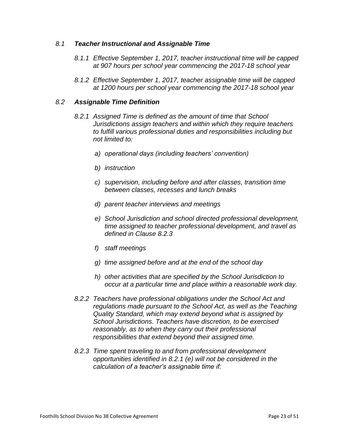#### *8.1 Teacher Instructional and Assignable Time*

- *8.1.1 Effective September 1, 2017, teacher instructional time will be capped at 907 hours per school year commencing the 2017-18 school year*
- *8.1.2 Effective September 1, 2017, teacher assignable time will be capped at 1200 hours per school year commencing the 2017-18 school year*

#### *8.2 Assignable Time Definition*

- *8.2.1 Assigned Time is defined as the amount of time that School Jurisdictions assign teachers and within which they require teachers to fulfill various professional duties and responsibilities including but not limited to:*
	- *a) operational days (including teachers' convention)*
	- *b) instruction*
	- *c) supervision, including before and after classes, transition time between classes, recesses and lunch breaks*
	- *d) parent teacher interviews and meetings*
	- *e) School Jurisdiction and school directed professional development, time assigned to teacher professional development, and travel as defined in Clause 8.2.3*
	- *f) staff meetings*
	- *g) time assigned before and at the end of the school day*
	- *h) other activities that are specified by the School Jurisdiction to occur at a particular time and place within a reasonable work day.*
- *8.2.2 Teachers have professional obligations under the School Act and regulations made pursuant to the School Act, as well as the Teaching Quality Standard, which may extend beyond what is assigned by School Jurisdictions. Teachers have discretion, to be exercised reasonably, as to when they carry out their professional responsibilities that extend beyond their assigned time.*
- *8.2.3 Time spent traveling to and from professional development opportunities identified in 8.2.1 (e) will not be considered in the calculation of a teacher's assignable time if:*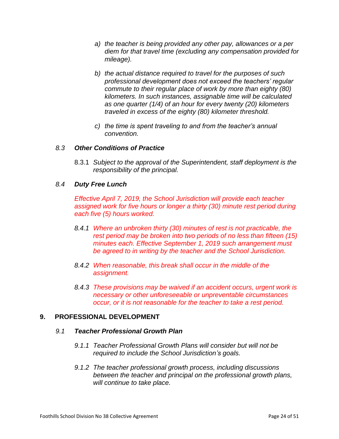- *a) the teacher is being provided any other pay, allowances or a per diem for that travel time (excluding any compensation provided for mileage).*
- *b) the actual distance required to travel for the purposes of such professional development does not exceed the teachers' regular commute to their regular place of work by more than eighty (80) kilometers. In such instances, assignable time will be calculated as one quarter (1/4) of an hour for every twenty (20) kilometers traveled in excess of the eighty (80) kilometer threshold.*
- *c) the time is spent traveling to and from the teacher's annual convention.*

#### *8.3 Other Conditions of Practice*

8.3.1 *Subject to the approval of the Superintendent, staff deployment is the responsibility of the principal.*

#### *8.4 Duty Free Lunch*

*Effective April 7, 2019, the School Jurisdiction will provide each teacher assigned work for five hours or longer a thirty (30) minute rest period during each five (5) hours worked.*

- *8.4.1 Where an unbroken thirty (30) minutes of rest is not practicable, the rest period may be broken into two periods of no less than fifteen (15) minutes each. Effective September 1, 2019 such arrangement must be agreed to in writing by the teacher and the School Jurisdiction.*
- *8.4.2 When reasonable, this break shall occur in the middle of the assignment.*
- *8.4.3 These provisions may be waived if an accident occurs, urgent work is necessary or other unforeseeable or unpreventable circumstances occur, or it is not reasonable for the teacher to take a rest period.*

#### **9. PROFESSIONAL DEVELOPMENT**

#### *9.1 Teacher Professional Growth Plan*

- *9.1.1 Teacher Professional Growth Plans will consider but will not be required to include the School Jurisdiction's goals.*
- *9.1.2 The teacher professional growth process, including discussions between the teacher and principal on the professional growth plans, will continue to take place.*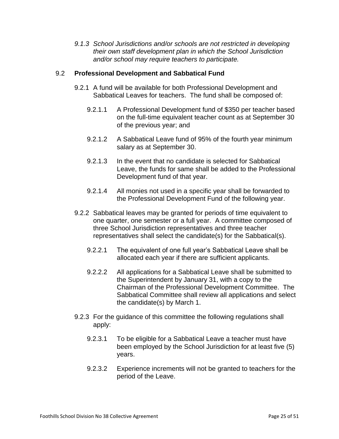*9.1.3 School Jurisdictions and/or schools are not restricted in developing their own staff development plan in which the School Jurisdiction and/or school may require teachers to participate.*

#### 9.2 **Professional Development and Sabbatical Fund**

- 9.2.1 A fund will be available for both Professional Development and Sabbatical Leaves for teachers. The fund shall be composed of:
	- 9.2.1.1 A Professional Development fund of \$350 per teacher based on the full-time equivalent teacher count as at September 30 of the previous year; and
	- 9.2.1.2 A Sabbatical Leave fund of 95% of the fourth year minimum salary as at September 30.
	- 9.2.1.3 In the event that no candidate is selected for Sabbatical Leave, the funds for same shall be added to the Professional Development fund of that year.
	- 9.2.1.4 All monies not used in a specific year shall be forwarded to the Professional Development Fund of the following year.
- 9.2.2 Sabbatical leaves may be granted for periods of time equivalent to one quarter, one semester or a full year. A committee composed of three School Jurisdiction representatives and three teacher representatives shall select the candidate(s) for the Sabbatical(s).
	- 9.2.2.1 The equivalent of one full year's Sabbatical Leave shall be allocated each year if there are sufficient applicants.
	- 9.2.2.2 All applications for a Sabbatical Leave shall be submitted to the Superintendent by January 31, with a copy to the Chairman of the Professional Development Committee. The Sabbatical Committee shall review all applications and select the candidate(s) by March 1.
- 9.2.3 For the guidance of this committee the following regulations shall apply:
	- 9.2.3.1 To be eligible for a Sabbatical Leave a teacher must have been employed by the School Jurisdiction for at least five (5) years.
	- 9.2.3.2 Experience increments will not be granted to teachers for the period of the Leave.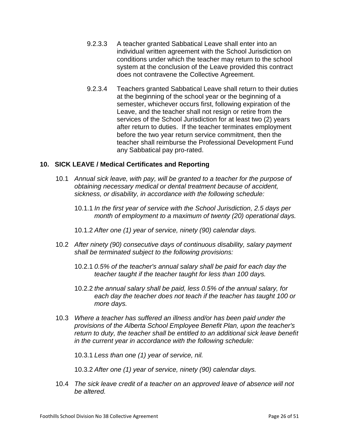- 9.2.3.3 A teacher granted Sabbatical Leave shall enter into an individual written agreement with the School Jurisdiction on conditions under which the teacher may return to the school system at the conclusion of the Leave provided this contract does not contravene the Collective Agreement.
- 9.2.3.4 Teachers granted Sabbatical Leave shall return to their duties at the beginning of the school year or the beginning of a semester, whichever occurs first, following expiration of the Leave, and the teacher shall not resign or retire from the services of the School Jurisdiction for at least two (2) years after return to duties. If the teacher terminates employment before the two year return service commitment, then the teacher shall reimburse the Professional Development Fund any Sabbatical pay pro-rated.

# **10. SICK LEAVE / Medical Certificates and Reporting**

- 10.1 *Annual sick leave, with pay, will be granted to a teacher for the purpose of obtaining necessary medical or dental treatment because of accident, sickness, or disability, in accordance with the following schedule:*
	- 10.1.1 *In the first year of service with the School Jurisdiction, 2.5 days per month of employment to a maximum of twenty (20) operational days.*
	- 10.1.2 *After one (1) year of service, ninety (90) calendar days.*
- 10.2 *After ninety (90) consecutive days of continuous disability, salary payment shall be terminated subject to the following provisions:*
	- 10.2.1 *0.5% of the teacher's annual salary shall be paid for each day the teacher taught if the teacher taught for less than 100 days.*
	- 10.2.2 *the annual salary shall be paid, less 0.5% of the annual salary, for each day the teacher does not teach if the teacher has taught 100 or more days.*
- 10.3 *Where a teacher has suffered an illness and/or has been paid under the provisions of the Alberta School Employee Benefit Plan, upon the teacher's return to duty, the teacher shall be entitled to an additional sick leave benefit in the current year in accordance with the following schedule:*

10.3.1 *Less than one (1) year of service, nil.*

10.3.2 *After one (1) year of service, ninety (90) calendar days.*

10.4 *The sick leave credit of a teacher on an approved leave of absence will not be altered.*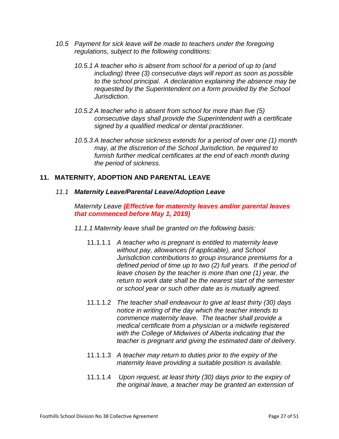- *10.5 Payment for sick leave will be made to teachers under the foregoing regulations, subject to the following conditions:*
	- *10.5.1 A teacher who is absent from school for a period of up to (and including) three (3) consecutive days will report as soon as possible to the school principal. A declaration explaining the absence may be requested by the Superintendent on a form provided by the School Jurisdiction.*
	- *10.5.2 A teacher who is absent from school for more than five (5) consecutive days shall provide the Superintendent with a certificate signed by a qualified medical or dental practitioner.*
	- *10.5.3 A teacher whose sickness extends for a period of over one (1) month may, at the discretion of the School Jurisdiction, be required to furnish further medical certificates at the end of each month during the period of sickness.*

# **11. MATERNITY, ADOPTION AND PARENTAL LEAVE**

#### *11.1 Maternity Leave/Parental Leave/Adoption Leave*

*Maternity Leave (Effective for maternity leaves and/or parental leaves that commenced before May 1, 2019)*

- *11.1.1 Maternity leave shall be granted on the following basis:*
	- 11.1.1.1 *A teacher who is pregnant is entitled to maternity leave without pay, allowances (if applicable), and School Jurisdiction contributions to group insurance premiums for a defined period of time up to two (2) full years. If the period of leave chosen by the teacher is more than one (1) year, the return to work date shall be the nearest start of the semester or school year or such other date as is mutually agreed.*
	- 11.1.1.2 *The teacher shall endeavour to give at least thirty (30) days notice in writing of the day which the teacher intends to commence maternity leave. The teacher shall provide a medical certificate from a physician or a midwife registered with the College of Midwives of Alberta indicating that the teacher is pregnant and giving the estimated date of delivery.*
	- 11.1.1.3 *A teacher may return to duties prior to the expiry of the maternity leave providing a suitable position is available.*
	- 11.1.1.4 *Upon request, at least thirty (30) days prior to the expiry of the original leave, a teacher may be granted an extension of*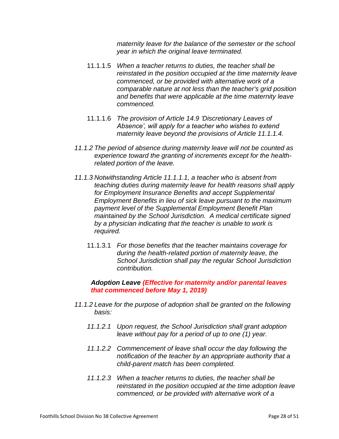*maternity leave for the balance of the semester or the school year in which the original leave terminated.* 

- 11.1.1.5 *When a teacher returns to duties, the teacher shall be reinstated in the position occupied at the time maternity leave commenced, or be provided with alternative work of a comparable nature at not less than the teacher's grid position and benefits that were applicable at the time maternity leave commenced.*
- 11.1.1.6 *The provision of Article 14.9 'Discretionary Leaves of Absence', will apply for a teacher who wishes to extend maternity leave beyond the provisions of Article 11.1.1.4.*
- *11.1.2 The period of absence during maternity leave will not be counted as experience toward the granting of increments except for the healthrelated portion of the leave.*
- *11.1.3 Notwithstanding Article 11.1.1.1, a teacher who is absent from teaching duties during maternity leave for health reasons shall apply for Employment Insurance Benefits and accept Supplemental Employment Benefits in lieu of sick leave pursuant to the maximum payment level of the Supplemental Employment Benefit Plan maintained by the School Jurisdiction. A medical certificate signed by a physician indicating that the teacher is unable to work is required.*
	- 11.1.3.1 *For those benefits that the teacher maintains coverage for during the health-related portion of maternity leave, the School Jurisdiction shall pay the regular School Jurisdiction contribution.*

#### *Adoption Leave (Effective for maternity and/or parental leaves that commenced before May 1, 2019)*

- *11.1.2 Leave for the purpose of adoption shall be granted on the following basis:* 
	- *11.1.2.1 Upon request, the School Jurisdiction shall grant adoption leave without pay for a period of up to one (1) year.*
	- *11.1.2.2 Commencement of leave shall occur the day following the notification of the teacher by an appropriate authority that a child-parent match has been completed.*
	- *11.1.2.3 When a teacher returns to duties, the teacher shall be reinstated in the position occupied at the time adoption leave commenced, or be provided with alternative work of a*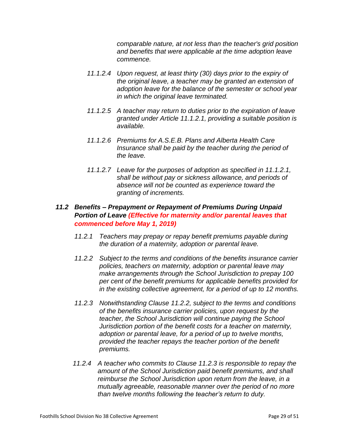*comparable nature, at not less than the teacher's grid position and benefits that were applicable at the time adoption leave commence.*

- *11.1.2.4 Upon request, at least thirty (30) days prior to the expiry of the original leave, a teacher may be granted an extension of adoption leave for the balance of the semester or school year in which the original leave terminated.*
- *11.1.2.5 A teacher may return to duties prior to the expiration of leave granted under Article 11.1.2.1, providing a suitable position is available.*
- *11.1.2.6 Premiums for A.S.E.B. Plans and Alberta Health Care Insurance shall be paid by the teacher during the period of the leave.*
- *11.1.2.7 Leave for the purposes of adoption as specified in 11.1.2.1, shall be without pay or sickness allowance, and periods of absence will not be counted as experience toward the granting of increments.*

# *11.2 Benefits – Prepayment or Repayment of Premiums During Unpaid Portion of Leave (Effective for maternity and/or parental leaves that commenced before May 1, 2019)*

- *11.2.1 Teachers may prepay or repay benefit premiums payable during the duration of a maternity, adoption or parental leave.*
- *11.2.2 Subject to the terms and conditions of the benefits insurance carrier policies, teachers on maternity, adoption or parental leave may make arrangements through the School Jurisdiction to prepay 100 per cent of the benefit premiums for applicable benefits provided for in the existing collective agreement, for a period of up to 12 months.*
- *11.2.3 Notwithstanding Clause 11.2.2, subject to the terms and conditions of the benefits insurance carrier policies, upon request by the teacher, the School Jurisdiction will continue paying the School Jurisdiction portion of the benefit costs for a teacher on maternity, adoption or parental leave, for a period of up to twelve months, provided the teacher repays the teacher portion of the benefit premiums.*
- *11.2.4 A teacher who commits to Clause 11.2.3 is responsible to repay the amount of the School Jurisdiction paid benefit premiums, and shall reimburse the School Jurisdiction upon return from the leave, in a mutually agreeable, reasonable manner over the period of no more than twelve months following the teacher's return to duty.*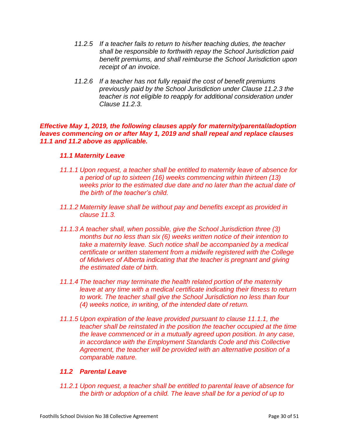- *11.2.5 If a teacher fails to return to his/her teaching duties, the teacher shall be responsible to forthwith repay the School Jurisdiction paid benefit premiums, and shall reimburse the School Jurisdiction upon receipt of an invoice.*
- *11.2.6 If a teacher has not fully repaid the cost of benefit premiums previously paid by the School Jurisdiction under Clause 11.2.3 the teacher is not eligible to reapply for additional consideration under Clause 11.2.3.*

#### *Effective May 1, 2019, the following clauses apply for maternity/parental/adoption leaves commencing on or after May 1, 2019 and shall repeal and replace clauses 11.1 and 11.2 above as applicable.*

#### *11.1 Maternity Leave*

- *11.1.1 Upon request, a teacher shall be entitled to maternity leave of absence for a period of up to sixteen (16) weeks commencing within thirteen (13) weeks prior to the estimated due date and no later than the actual date of the birth of the teacher's child.*
- *11.1.2 Maternity leave shall be without pay and benefits except as provided in clause 11.3.*
- *11.1.3 A teacher shall, when possible, give the School Jurisdiction three (3) months but no less than six (6) weeks written notice of their intention to take a maternity leave. Such notice shall be accompanied by a medical certificate or written statement from a midwife registered with the College of Midwives of Alberta indicating that the teacher is pregnant and giving the estimated date of birth.*
- *11.1.4 The teacher may terminate the health related portion of the maternity leave at any time with a medical certificate indicating their fitness to return to work. The teacher shall give the School Jurisdiction no less than four (4) weeks notice, in writing, of the intended date of return.*
- *11.1.5 Upon expiration of the leave provided pursuant to clause 11.1.1, the teacher shall be reinstated in the position the teacher occupied at the time the leave commenced or in a mutually agreed upon position. In any case, in accordance with the Employment Standards Code and this Collective Agreement, the teacher will be provided with an alternative position of a comparable nature.*

# *11.2 Parental Leave*

*11.2.1 Upon request, a teacher shall be entitled to parental leave of absence for the birth or adoption of a child. The leave shall be for a period of up to*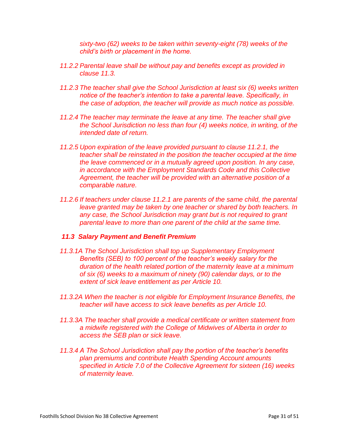*sixty-two (62) weeks to be taken within seventy-eight (78) weeks of the child's birth or placement in the home.* 

- *11.2.2 Parental leave shall be without pay and benefits except as provided in clause 11.3.*
- *11.2.3 The teacher shall give the School Jurisdiction at least six (6) weeks written notice of the teacher's intention to take a parental leave. Specifically, in the case of adoption, the teacher will provide as much notice as possible.*
- *11.2.4 The teacher may terminate the leave at any time. The teacher shall give the School Jurisdiction no less than four (4) weeks notice, in writing, of the intended date of return.*
- *11.2.5 Upon expiration of the leave provided pursuant to clause 11.2.1, the teacher shall be reinstated in the position the teacher occupied at the time the leave commenced or in a mutually agreed upon position. In any case, in accordance with the Employment Standards Code and this Collective Agreement, the teacher will be provided with an alternative position of a comparable nature.*
- *11.2.6 If teachers under clause 11.2.1 are parents of the same child, the parental leave granted may be taken by one teacher or shared by both teachers. In any case, the School Jurisdiction may grant but is not required to grant parental leave to more than one parent of the child at the same time.*

#### *11.3 Salary Payment and Benefit Premium*

- *11.3.1A The School Jurisdiction shall top up Supplementary Employment Benefits (SEB) to 100 percent of the teacher's weekly salary for the duration of the health related portion of the maternity leave at a minimum of six (6) weeks to a maximum of ninety (90) calendar days, or to the extent of sick leave entitlement as per Article 10.*
- *11.3.2A When the teacher is not eligible for Employment Insurance Benefits, the teacher will have access to sick leave benefits as per Article 10.*
- *11.3.3A The teacher shall provide a medical certificate or written statement from a midwife registered with the College of Midwives of Alberta in order to access the SEB plan or sick leave.*
- *11.3.4 A The School Jurisdiction shall pay the portion of the teacher's benefits plan premiums and contribute Health Spending Account amounts specified in Article 7.0 of the Collective Agreement for sixteen (16) weeks of maternity leave.*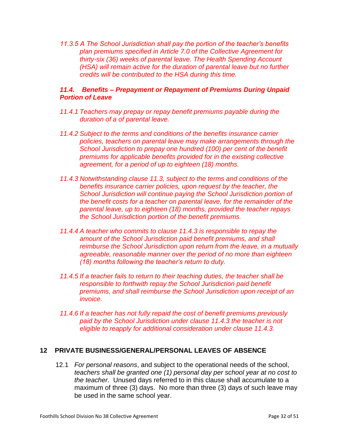*11.3.5 A The School Jurisdiction shall pay the portion of the teacher's benefits plan premiums specified in Article 7.0 of the Collective Agreement for thirty-six (36) weeks of parental leave. The Health Spending Account (HSA) will remain active for the duration of parental leave but no further credits will be contributed to the HSA during this time.*

# *11.4. Benefits – Prepayment or Repayment of Premiums During Unpaid Portion of Leave*

- *11.4.1 Teachers may prepay or repay benefit premiums payable during the duration of a of parental leave.*
- *11.4.2 Subject to the terms and conditions of the benefits insurance carrier policies, teachers on parental leave may make arrangements through the School Jurisdiction to prepay one hundred (100) per cent of the benefit premiums for applicable benefits provided for in the existing collective agreement, for a period of up to eighteen (18) months.*
- *11.4.3 Notwithstanding clause 11.3, subject to the terms and conditions of the benefits insurance carrier policies, upon request by the teacher, the School Jurisdiction will continue paying the School Jurisdiction portion of the benefit costs for a teacher on parental leave, for the remainder of the parental leave, up to eighteen (18) months, provided the teacher repays the School Jurisdiction portion of the benefit premiums.*
- *11.4.4 A teacher who commits to clause 11.4.3 is responsible to repay the amount of the School Jurisdiction paid benefit premiums, and shall reimburse the School Jurisdiction upon return from the leave, in a mutually agreeable, reasonable manner over the period of no more than eighteen (18) months following the teacher's return to duty.*
- *11.4.5 If a teacher fails to return to their teaching duties, the teacher shall be responsible to forthwith repay the School Jurisdiction paid benefit premiums, and shall reimburse the School Jurisdiction upon receipt of an invoice.*
- *11.4.6 If a teacher has not fully repaid the cost of benefit premiums previously paid by the School Jurisdiction under clause 11.4.3 the teacher is not eligible to reapply for additional consideration under clause 11.4.3.*

# **12 PRIVATE BUSINESS/GENERAL/PERSONAL LEAVES OF ABSENCE**

12.1 *For personal reasons*, and subject to the operational needs of the school, *teachers shall be granted one (1) personal day per school year at no cost to the teacher*. Unused days referred to in this clause shall accumulate to a maximum of three (3) days. No more than three (3) days of such leave may be used in the same school year.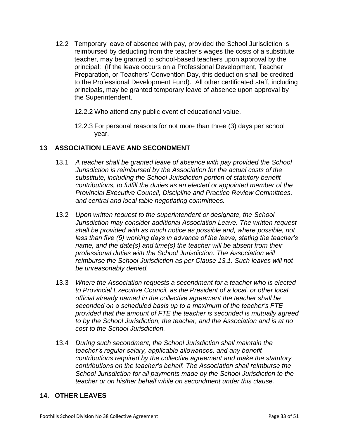- 12.2 Temporary leave of absence with pay, provided the School Jurisdiction is reimbursed by deducting from the teacher's wages the costs of a substitute teacher, may be granted to school-based teachers upon approval by the principal: (If the leave occurs on a Professional Development, Teacher Preparation, or Teachers' Convention Day, this deduction shall be credited to the Professional Development Fund). All other certificated staff, including principals, may be granted temporary leave of absence upon approval by the Superintendent.
	- 12.2.2 Who attend any public event of educational value.
	- 12.2.3 For personal reasons for not more than three (3) days per school year.

# **13 ASSOCIATION LEAVE AND SECONDMENT**

- 13.1 *A teacher shall be granted leave of absence with pay provided the School Jurisdiction is reimbursed by the Association for the actual costs of the substitute, including the School Jurisdiction portion of statutory benefit contributions, to fulfill the duties as an elected or appointed member of the Provincial Executive Council, Discipline and Practice Review Committees, and central and local table negotiating committees.*
- 13.2 *Upon written request to the superintendent or designate, the School Jurisdiction may consider additional Association Leave. The written request shall be provided with as much notice as possible and, where possible, not less than five (5) working days in advance of the leave, stating the teacher's name, and the date(s) and time(s) the teacher will be absent from their professional duties with the School Jurisdiction. The Association will reimburse the School Jurisdiction as per Clause 13.1. Such leaves will not be unreasonably denied.*
- 13.3 *Where the Association requests a secondment for a teacher who is elected to Provincial Executive Council, as the President of a local, or other local official already named in the collective agreement the teacher shall be seconded on a scheduled basis up to a maximum of the teacher's FTE provided that the amount of FTE the teacher is seconded is mutually agreed to by the School Jurisdiction, the teacher, and the Association and is at no cost to the School Jurisdiction.*
- 13.4 *During such secondment, the School Jurisdiction shall maintain the teacher's regular salary, applicable allowances, and any benefit contributions required by the collective agreement and make the statutory contributions on the teacher's behalf. The Association shall reimburse the School Jurisdiction for all payments made by the School Jurisdiction to the teacher or on his/her behalf while on secondment under this clause.*

# **14. OTHER LEAVES**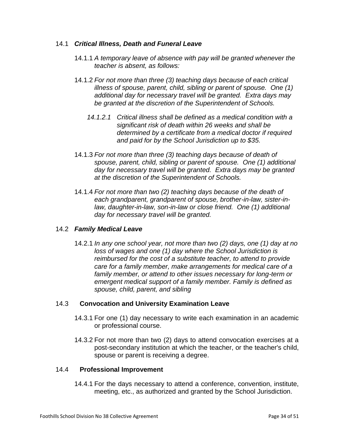#### 14.1 *Critical Illness, Death and Funeral Leave*

- 14.1.1 *A temporary leave of absence with pay will be granted whenever the teacher is absent, as follows:*
- 14.1.2 *For not more than three (3) teaching days because of each critical illness of spouse, parent, child, sibling or parent of spouse. One (1) additional day for necessary travel will be granted. Extra days may be granted at the discretion of the Superintendent of Schools.*
	- *14.1.2.1 Critical illness shall be defined as a medical condition with a significant risk of death within 26 weeks and shall be determined by a certificate from a medical doctor if required and paid for by the School Jurisdiction up to \$35.*
- 14.1.3 *For not more than three (3) teaching days because of death of spouse, parent, child, sibling or parent of spouse. One (1) additional day for necessary travel will be granted. Extra days may be granted at the discretion of the Superintendent of Schools.*
- 14.1.4 *For not more than two (2) teaching days because of the death of each grandparent, grandparent of spouse, brother-in-law, sister-inlaw, daughter-in-law, son-in-law or close friend. One (1) additional day for necessary travel will be granted.*

# 14.2 *Family Medical Leave*

14.2.1 *In any one school year, not more than two (2) days, one (1) day at no loss of wages and one (1) day where the School Jurisdiction is reimbursed for the cost of a substitute teacher, to attend to provide care for a family member, make arrangements for medical care of a family member, or attend to other issues necessary for long-term or emergent medical support of a family member. Family is defined as spouse, child, parent, and sibling*

# 14.3 **Convocation and University Examination Leave**

- 14.3.1 For one (1) day necessary to write each examination in an academic or professional course.
- 14.3.2 For not more than two (2) days to attend convocation exercises at a post-secondary institution at which the teacher, or the teacher's child, spouse or parent is receiving a degree.

#### 14.4 **Professional Improvement**

14.4.1 For the days necessary to attend a conference, convention, institute, meeting, etc., as authorized and granted by the School Jurisdiction.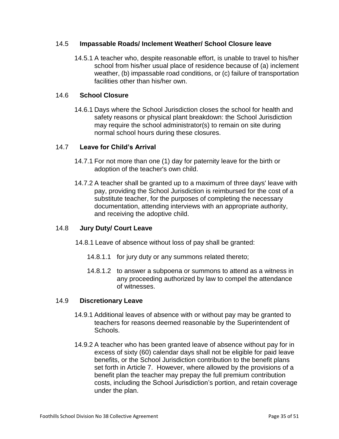#### 14.5 **Impassable Roads/ Inclement Weather/ School Closure leave**

14.5.1 A teacher who, despite reasonable effort, is unable to travel to his/her school from his/her usual place of residence because of (a) inclement weather, (b) impassable road conditions, or (c) failure of transportation facilities other than his/her own.

#### 14.6 **School Closure**

14.6.1 Days where the School Jurisdiction closes the school for health and safety reasons or physical plant breakdown: the School Jurisdiction may require the school administrator(s) to remain on site during normal school hours during these closures.

#### 14.7 **Leave for Child's Arrival**

- 14.7.1 For not more than one (1) day for paternity leave for the birth or adoption of the teacher's own child.
- 14.7.2 A teacher shall be granted up to a maximum of three days' leave with pay, providing the School Jurisdiction is reimbursed for the cost of a substitute teacher, for the purposes of completing the necessary documentation, attending interviews with an appropriate authority, and receiving the adoptive child.

# 14.8 **Jury Duty/ Court Leave**

- 14.8.1 Leave of absence without loss of pay shall be granted:
	- 14.8.1.1 for jury duty or any summons related thereto;
	- 14.8.1.2 to answer a subpoena or summons to attend as a witness in any proceeding authorized by law to compel the attendance of witnesses.

#### 14.9 **Discretionary Leave**

- 14.9.1 Additional leaves of absence with or without pay may be granted to teachers for reasons deemed reasonable by the Superintendent of Schools.
- 14.9.2 A teacher who has been granted leave of absence without pay for in excess of sixty (60) calendar days shall not be eligible for paid leave benefits, or the School Jurisdiction contribution to the benefit plans set forth in Article 7. However, where allowed by the provisions of a benefit plan the teacher may prepay the full premium contribution costs, including the School Jurisdiction's portion, and retain coverage under the plan.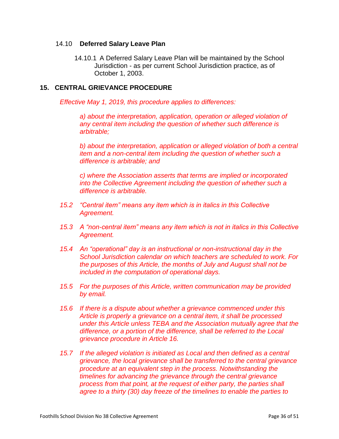#### 14.10 **Deferred Salary Leave Plan**

14.10.1 A Deferred Salary Leave Plan will be maintained by the School Jurisdiction - as per current School Jurisdiction practice, as of October 1, 2003.

#### **15. CENTRAL GRIEVANCE PROCEDURE**

*Effective May 1, 2019, this procedure applies to differences:*

*a) about the interpretation, application, operation or alleged violation of any central item including the question of whether such difference is arbitrable;*

*b) about the interpretation, application or alleged violation of both a central item and a non-central item including the question of whether such a difference is arbitrable; and*

*c) where the Association asserts that terms are implied or incorporated into the Collective Agreement including the question of whether such a difference is arbitrable.*

- *15.2 "Central item" means any item which is in italics in this Collective Agreement.*
- *15.3 A "non-central item" means any item which is not in italics in this Collective Agreement.*
- *15.4 An "operational" day is an instructional or non-instructional day in the School Jurisdiction calendar on which teachers are scheduled to work. For the purposes of this Article, the months of July and August shall not be included in the computation of operational days.*
- *15.5 For the purposes of this Article, written communication may be provided by email.*
- *15.6 If there is a dispute about whether a grievance commenced under this Article is properly a grievance on a central item, it shall be processed under this Article unless TEBA and the Association mutually agree that the difference, or a portion of the difference, shall be referred to the Local grievance procedure in Article 16.*
- *15.7 If the alleged violation is initiated as Local and then defined as a central grievance, the local grievance shall be transferred to the central grievance procedure at an equivalent step in the process. Notwithstanding the timelines for advancing the grievance through the central grievance process from that point, at the request of either party, the parties shall agree to a thirty (30) day freeze of the timelines to enable the parties to*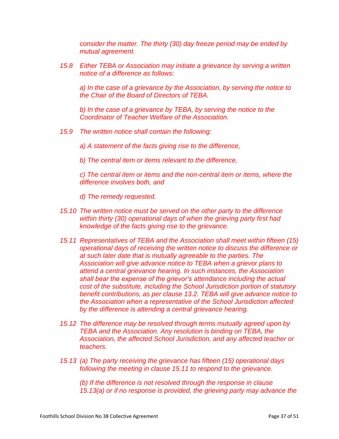*consider the matter. The thirty (30) day freeze period may be ended by mutual agreement.* 

*15.8 Either TEBA or Association may initiate a grievance by serving a written notice of a difference as follows:*

*a) In the case of a grievance by the Association, by serving the notice to the Chair of the Board of Directors of TEBA.*

*b) In the case of a grievance by TEBA, by serving the notice to the Coordinator of Teacher Welfare of the Association.*

- *15.9 The written notice shall contain the following:*
	- *a) A statement of the facts giving rise to the difference,*
	- *b) The central item or items relevant to the difference,*

*c) The central item or items and the non-central item or items, where the difference involves both, and*

*d) The remedy requested.*

- *15.10 The written notice must be served on the other party to the difference within thirty (30) operational days of when the grieving party first had knowledge of the facts giving rise to the grievance.*
- *15.11 Representatives of TEBA and the Association shall meet within fifteen (15) operational days of receiving the written notice to discuss the difference or at such later date that is mutually agreeable to the parties. The Association will give advance notice to TEBA when a grievor plans to attend a central grievance hearing. In such instances, the Association shall bear the expense of the grievor's attendance including the actual cost of the substitute, including the School Jurisdiction portion of statutory benefit contributions, as per clause 13.2. TEBA will give advance notice to the Association when a representative of the School Jurisdiction affected by the difference is attending a central grievance hearing.*
- *15.12 The difference may be resolved through terms mutually agreed upon by TEBA and the Association. Any resolution is binding on TEBA, the Association, the affected School Jurisdiction, and any affected teacher or teachers.*
- *15.13 (a) The party receiving the grievance has fifteen (15) operational days following the meeting in clause 15.11 to respond to the grievance.*

*(b) If the difference is not resolved through the response in clause 15.13(a) or if no response is provided, the grieving party may advance the*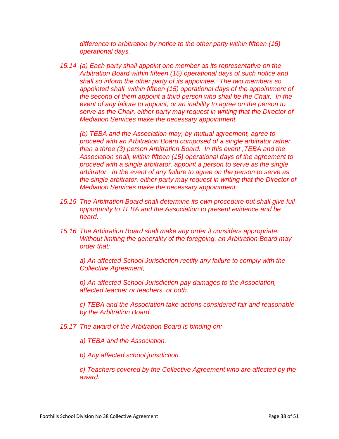*difference to arbitration by notice to the other party within fifteen (15) operational days.*

*15.14 (a) Each party shall appoint one member as its representative on the Arbitration Board within fifteen (15) operational days of such notice and shall so inform the other party of its appointee. The two members so appointed shall, within fifteen (15) operational days of the appointment of the second of them appoint a third person who shall be the Chair. In the*  event of any failure to appoint, or an inability to agree on the person to *serve as the Chair, either party may request in writing that the Director of Mediation Services make the necessary appointment.*

*(b) TEBA and the Association may, by mutual agreement, agree to proceed with an Arbitration Board composed of a single arbitrator rather than a three (3) person Arbitration Board. In this event ,TEBA and the Association shall, within fifteen (15) operational days of the agreement to proceed with a single arbitrator, appoint a person to serve as the single arbitrator. In the event of any failure to agree on the person to serve as the single arbitrator, either party may request in writing that the Director of Mediation Services make the necessary appointment.*

- *15.15 The Arbitration Board shall determine its own procedure but shall give full opportunity to TEBA and the Association to present evidence and be heard.*
- *15.16 The Arbitration Board shall make any order it considers appropriate. Without limiting the generality of the foregoing, an Arbitration Board may order that:*

*a) An affected School Jurisdiction rectify any failure to comply with the Collective Agreement;*

*b) An affected School Jurisdiction pay damages to the Association, affected teacher or teachers, or both.*

*c) TEBA and the Association take actions considered fair and reasonable by the Arbitration Board.*

- *15.17 The award of the Arbitration Board is binding on:*
	- *a) TEBA and the Association.*

*b) Any affected school jurisdiction.*

*c) Teachers covered by the Collective Agreement who are affected by the award.*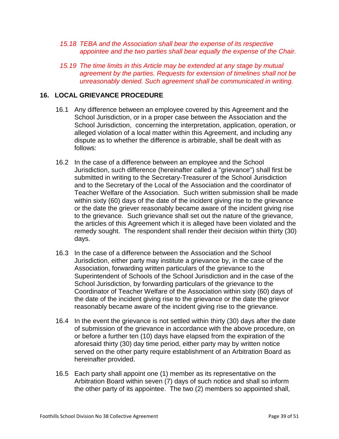- *15.18 TEBA and the Association shall bear the expense of its respective appointee and the two parties shall bear equally the expense of the Chair.*
- *15.19 The time limits in this Article may be extended at any stage by mutual agreement by the parties. Requests for extension of timelines shall not be unreasonably denied. Such agreement shall be communicated in writing.*

#### **16. LOCAL GRIEVANCE PROCEDURE**

- 16.1 Any difference between an employee covered by this Agreement and the School Jurisdiction, or in a proper case between the Association and the School Jurisdiction, concerning the interpretation, application, operation, or alleged violation of a local matter within this Agreement, and including any dispute as to whether the difference is arbitrable, shall be dealt with as follows:
- 16.2 In the case of a difference between an employee and the School Jurisdiction, such difference (hereinafter called a "grievance") shall first be submitted in writing to the Secretary-Treasurer of the School Jurisdiction and to the Secretary of the Local of the Association and the coordinator of Teacher Welfare of the Association. Such written submission shall be made within sixty (60) days of the date of the incident giving rise to the grievance or the date the griever reasonably became aware of the incident giving rise to the grievance. Such grievance shall set out the nature of the grievance, the articles of this Agreement which it is alleged have been violated and the remedy sought. The respondent shall render their decision within thirty (30) days.
- 16.3 In the case of a difference between the Association and the School Jurisdiction, either party may institute a grievance by, in the case of the Association, forwarding written particulars of the grievance to the Superintendent of Schools of the School Jurisdiction and in the case of the School Jurisdiction, by forwarding particulars of the grievance to the Coordinator of Teacher Welfare of the Association within sixty (60) days of the date of the incident giving rise to the grievance or the date the grievor reasonably became aware of the incident giving rise to the grievance.
- 16.4 In the event the grievance is not settled within thirty (30) days after the date of submission of the grievance in accordance with the above procedure, on or before a further ten (10) days have elapsed from the expiration of the aforesaid thirty (30) day time period, either party may by written notice served on the other party require establishment of an Arbitration Board as hereinafter provided.
- 16.5 Each party shall appoint one (1) member as its representative on the Arbitration Board within seven (7) days of such notice and shall so inform the other party of its appointee. The two (2) members so appointed shall,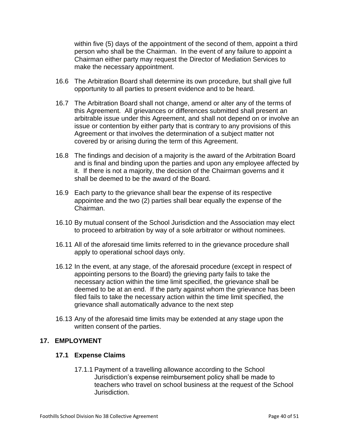within five (5) days of the appointment of the second of them, appoint a third person who shall be the Chairman. In the event of any failure to appoint a Chairman either party may request the Director of Mediation Services to make the necessary appointment.

- 16.6 The Arbitration Board shall determine its own procedure, but shall give full opportunity to all parties to present evidence and to be heard.
- 16.7 The Arbitration Board shall not change, amend or alter any of the terms of this Agreement. All grievances or differences submitted shall present an arbitrable issue under this Agreement, and shall not depend on or involve an issue or contention by either party that is contrary to any provisions of this Agreement or that involves the determination of a subject matter not covered by or arising during the term of this Agreement.
- 16.8 The findings and decision of a majority is the award of the Arbitration Board and is final and binding upon the parties and upon any employee affected by it. If there is not a majority, the decision of the Chairman governs and it shall be deemed to be the award of the Board.
- 16.9 Each party to the grievance shall bear the expense of its respective appointee and the two (2) parties shall bear equally the expense of the Chairman.
- 16.10 By mutual consent of the School Jurisdiction and the Association may elect to proceed to arbitration by way of a sole arbitrator or without nominees.
- 16.11 All of the aforesaid time limits referred to in the grievance procedure shall apply to operational school days only.
- 16.12 In the event, at any stage, of the aforesaid procedure (except in respect of appointing persons to the Board) the grieving party fails to take the necessary action within the time limit specified, the grievance shall be deemed to be at an end. If the party against whom the grievance has been filed fails to take the necessary action within the time limit specified, the grievance shall automatically advance to the next step
- 16.13 Any of the aforesaid time limits may be extended at any stage upon the written consent of the parties.

# **17. EMPLOYMENT**

# **17.1 Expense Claims**

17.1.1 Payment of a travelling allowance according to the School Jurisdiction's expense reimbursement policy shall be made to teachers who travel on school business at the request of the School Jurisdiction.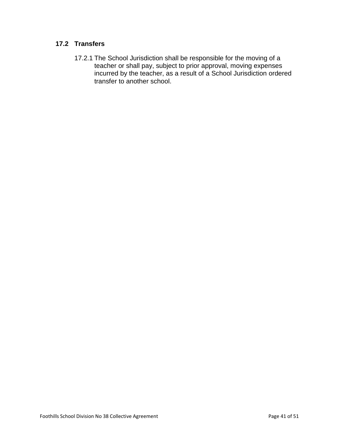# **17.2 Transfers**

17.2.1 The School Jurisdiction shall be responsible for the moving of a teacher or shall pay, subject to prior approval, moving expenses incurred by the teacher, as a result of a School Jurisdiction ordered transfer to another school.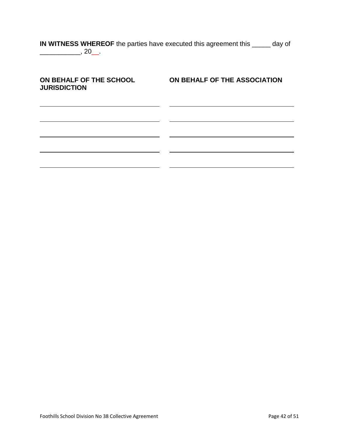| IN WITNESS WHEREOF the parties have executed this agreement this | $\frac{1}{\sqrt{1-\frac{1}{2}}}\,$ day of |  |
|------------------------------------------------------------------|-------------------------------------------|--|
| $\sim 20$ .                                                      |                                           |  |

| ON BEHALF OF THE SCHOOL<br><b>JURISDICTION</b> | ON BEHALF OF THE ASSOCIATION |
|------------------------------------------------|------------------------------|
|                                                |                              |
|                                                |                              |
|                                                |                              |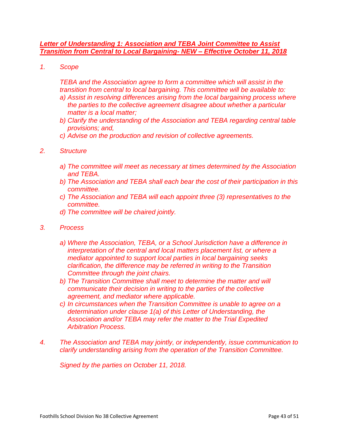#### *Letter of Understanding 1: Association and TEBA Joint Committee to Assist Transition from Central to Local Bargaining- NEW – Effective October 11, 2018*

*1. Scope*

*TEBA and the Association agree to form a committee which will assist in the transition from central to local bargaining. This committee will be available to:* 

- *a) Assist in resolving differences arising from the local bargaining process where the parties to the collective agreement disagree about whether a particular matter is a local matter;*
- *b) Clarify the understanding of the Association and TEBA regarding central table provisions; and,*
- *c) Advise on the production and revision of collective agreements.*
- *2. Structure*
	- *a) The committee will meet as necessary at times determined by the Association and TEBA.*
	- *b) The Association and TEBA shall each bear the cost of their participation in this committee.*
	- *c) The Association and TEBA will each appoint three (3) representatives to the committee.*
	- *d) The committee will be chaired jointly.*
- *3. Process*
	- *a) Where the Association, TEBA, or a School Jurisdiction have a difference in interpretation of the central and local matters placement list, or where a mediator appointed to support local parties in local bargaining seeks clarification, the difference may be referred in writing to the Transition Committee through the joint chairs.*
	- *b) The Transition Committee shall meet to determine the matter and will communicate their decision in writing to the parties of the collective agreement, and mediator where applicable.*
	- *c) In circumstances when the Transition Committee is unable to agree on a determination under clause 1(a) of this Letter of Understanding, the Association and/or TEBA may refer the matter to the Trial Expedited Arbitration Process.*
- *4. The Association and TEBA may jointly, or independently, issue communication to clarify understanding arising from the operation of the Transition Committee.*

*Signed by the parties on October 11, 2018.*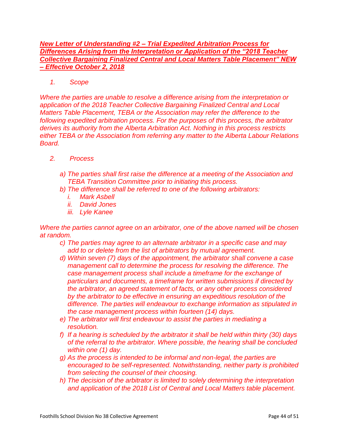*New Letter of Understanding #2 – Trial Expedited Arbitration Process for Differences Arising from the Interpretation or Application of the "2018 Teacher Collective Bargaining Finalized Central and Local Matters Table Placement" NEW – Effective October 2, 2018*

*1. Scope*

*Where the parties are unable to resolve a difference arising from the interpretation or application of the 2018 Teacher Collective Bargaining Finalized Central and Local Matters Table Placement, TEBA or the Association may refer the difference to the following expedited arbitration process. For the purposes of this process, the arbitrator derives its authority from the Alberta Arbitration Act. Nothing in this process restricts either TEBA or the Association from referring any matter to the Alberta Labour Relations Board.* 

- *2. Process*
	- *a) The parties shall first raise the difference at a meeting of the Association and TEBA Transition Committee prior to initiating this process.*
	- *b) The difference shall be referred to one of the following arbitrators:*
		- *i. Mark Asbell*
		- *ii. David Jones*
		- *iii. Lyle Kanee*

*Where the parties cannot agree on an arbitrator, one of the above named will be chosen at random.*

- *c) The parties may agree to an alternate arbitrator in a specific case and may add to or delete from the list of arbitrators by mutual agreement.*
- *d) Within seven (7) days of the appointment, the arbitrator shall convene a case management call to determine the process for resolving the difference. The case management process shall include a timeframe for the exchange of particulars and documents, a timeframe for written submissions if directed by the arbitrator, an agreed statement of facts, or any other process considered by the arbitrator to be effective in ensuring an expeditious resolution of the difference. The parties will endeavour to exchange information as stipulated in the case management process within fourteen (14) days.*
- *e) The arbitrator will first endeavour to assist the parties in mediating a resolution.*
- *f) If a hearing is scheduled by the arbitrator it shall be held within thirty (30) days of the referral to the arbitrator. Where possible, the hearing shall be concluded within one (1) day.*
- *g) As the process is intended to be informal and non-legal, the parties are encouraged to be self-represented. Notwithstanding, neither party is prohibited from selecting the counsel of their choosing.*
- *h) The decision of the arbitrator is limited to solely determining the interpretation and application of the 2018 List of Central and Local Matters table placement.*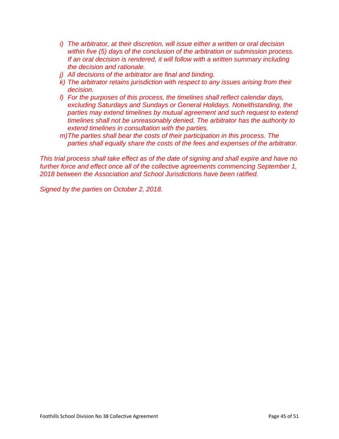- *i) The arbitrator, at their discretion, will issue either a written or oral decision within five (5) days of the conclusion of the arbitration or submission process. If an oral decision is rendered, it will follow with a written summary including the decision and rationale.*
- *j) All decisions of the arbitrator are final and binding.*
- *k) The arbitrator retains jurisdiction with respect to any issues arising from their decision.*
- *l) For the purposes of this process, the timelines shall reflect calendar days, excluding Saturdays and Sundays or General Holidays. Notwithstanding, the parties may extend timelines by mutual agreement and such request to extend timelines shall not be unreasonably denied. The arbitrator has the authority to extend timelines in consultation with the parties.*
- *m)The parties shall bear the costs of their participation in this process. The parties shall equally share the costs of the fees and expenses of the arbitrator.*

*This trial process shall take effect as of the date of signing and shall expire and have no further force and effect once all of the collective agreements commencing September 1, 2018 between the Association and School Jurisdictions have been ratified.*

*Signed by the parties on October 2, 2018.*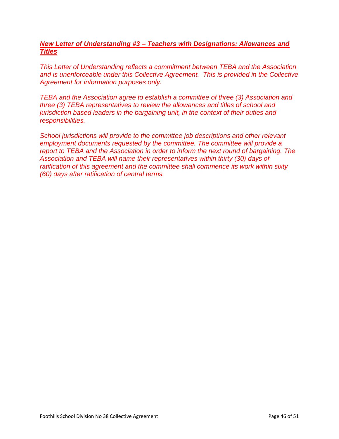# *New Letter of Understanding #3 – Teachers with Designations: Allowances and Titles*

*This Letter of Understanding reflects a commitment between TEBA and the Association and is unenforceable under this Collective Agreement. This is provided in the Collective Agreement for information purposes only.*

*TEBA and the Association agree to establish a committee of three (3) Association and three (3) TEBA representatives to review the allowances and titles of school and jurisdiction based leaders in the bargaining unit, in the context of their duties and responsibilities.* 

*School jurisdictions will provide to the committee job descriptions and other relevant employment documents requested by the committee. The committee will provide a report to TEBA and the Association in order to inform the next round of bargaining. The Association and TEBA will name their representatives within thirty (30) days of ratification of this agreement and the committee shall commence its work within sixty (60) days after ratification of central terms.*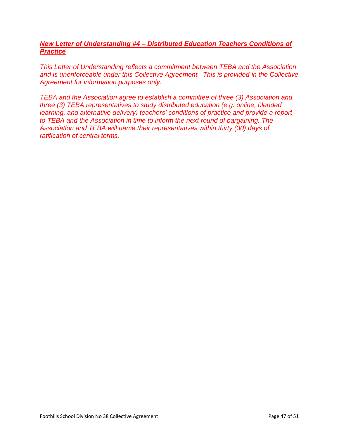# *New Letter of Understanding #4 – Distributed Education Teachers Conditions of Practice*

*This Letter of Understanding reflects a commitment between TEBA and the Association and is unenforceable under this Collective Agreement. This is provided in the Collective Agreement for information purposes only.*

*TEBA and the Association agree to establish a committee of three (3) Association and three (3) TEBA representatives to study distributed education (e.g. online, blended learning, and alternative delivery) teachers' conditions of practice and provide a report to TEBA and the Association in time to inform the next round of bargaining. The Association and TEBA will name their representatives within thirty (30) days of ratification of central terms.*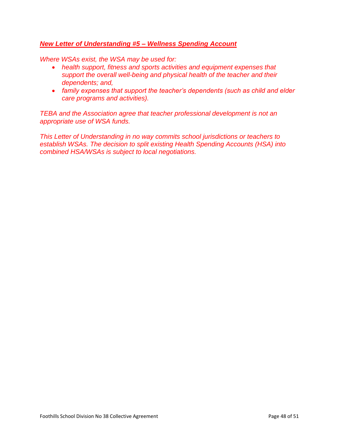# *New Letter of Understanding #5 – Wellness Spending Account*

*Where WSAs exist, the WSA may be used for:*

- *health support, fitness and sports activities and equipment expenses that support the overall well-being and physical health of the teacher and their dependents; and,*
- *family expenses that support the teacher's dependents (such as child and elder care programs and activities).*

**TEBA and the Association agree that teacher professional development is not an** *appropriate use of WSA funds.*

*This Letter of Understanding in no way commits school jurisdictions or teachers to establish WSAs. The decision to split existing Health Spending Accounts (HSA) into combined HSA/WSAs is subject to local negotiations.*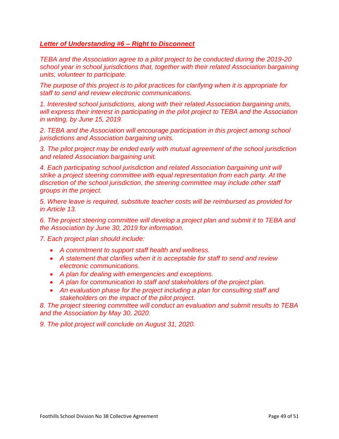# *Letter of Understanding #6 – Right to Disconnect*

*TEBA and the Association agree to a pilot project to be conducted during the 2019-20 school year in school jurisdictions that, together with their related Association bargaining units, volunteer to participate.* 

*The purpose of this project is to pilot practices for clarifying when it is appropriate for staff to send and review electronic communications.*

*1. Interested school jurisdictions, along with their related Association bargaining units, will express their interest in participating in the pilot project to TEBA and the Association in writing, by June 15, 2019.* 

*2. TEBA and the Association will encourage participation in this project among school jurisdictions and Association bargaining units.* 

*3. The pilot project may be ended early with mutual agreement of the school jurisdiction and related Association bargaining unit.*

*4. Each participating school jurisdiction and related Association bargaining unit will strike a project steering committee with equal representation from each party. At the discretion of the school jurisdiction, the steering committee may include other staff groups in the project.*

*5. Where leave is required, substitute teacher costs will be reimbursed as provided for in Article 13.* 

*6. The project steering committee will develop a project plan and submit it to TEBA and the Association by June 30, 2019 for information.*

*7. Each project plan should include:* 

- *A commitment to support staff health and wellness.*
- *A statement that clarifies when it is acceptable for staff to send and review electronic communications.*
- *A plan for dealing with emergencies and exceptions.*
- *A plan for communication to staff and stakeholders of the project plan.*
- An evaluation phase for the project including a plan for consulting staff and *stakeholders on the impact of the pilot project.*

*8. The project steering committee will conduct an evaluation and submit results to TEBA and the Association by May 30, 2020.* 

*9. The pilot project will conclude on August 31, 2020.*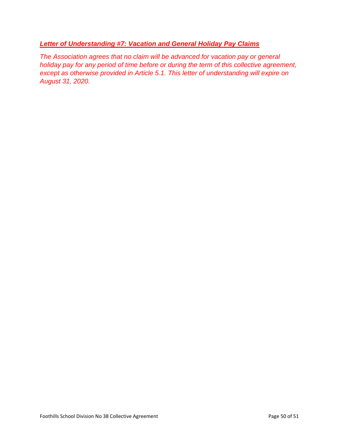# *Letter of Understanding #7: Vacation and General Holiday Pay Claims*

*The Association agrees that no claim will be advanced for vacation pay or general holiday pay for any period of time before or during the term of this collective agreement, except as otherwise provided in Article 5.1. This letter of understanding will expire on August 31, 2020.*